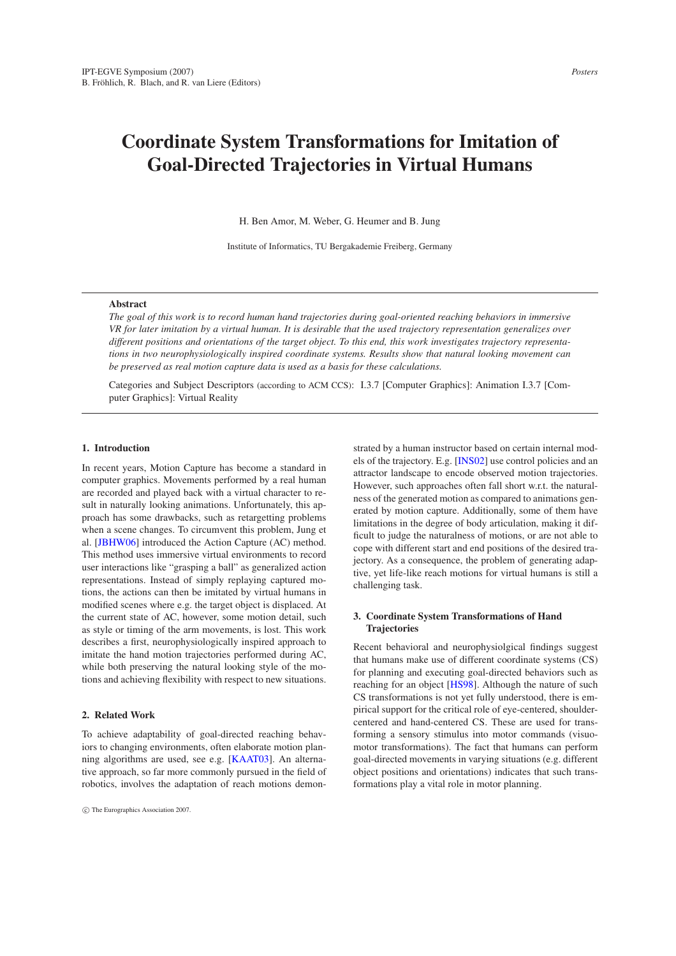# **Coordinate System Transformations for Imitation of Goal-Directed Trajectories in Virtual Humans**

H. Ben Amor, M. Weber, G. Heumer and B. Jung

Institute of Informatics, TU Bergakademie Freiberg, Germany

#### **Abstract**

*The goal of this work is to record human hand trajectories during goal-oriented reaching behaviors in immersive VR for later imitation by a virtual human. It is desirable that the used trajectory representation generalizes over different positions and orientations of the target object. To this end, this work investigates trajectory representations in two neurophysiologically inspired coordinate systems. Results show that natural looking movement can be preserved as real motion capture data is used as a basis for these calculations.*

Categories and Subject Descriptors (according to ACM CCS): I.3.7 [Computer Graphics]: Animation I.3.7 [Computer Graphics]: Virtual Reality

#### **1. Introduction**

In recent years, Motion Capture has become a standard in computer graphics. Movements performed by a real human are recorded and played back with a virtual character to result in naturally looking animations. Unfortunately, this approach has some drawbacks, such as retargetting problems when a scene changes. To circumvent this problem, Jung et al. [\[JBHW06\]](#page-1-0) introduced the Action Capture (AC) method. This method uses immersive virtual environments to record user interactions like "grasping a ball" as generalized action representations. Instead of simply replaying captured motions, the actions can then be imitated by virtual humans in modified scenes where e.g. the target object is displaced. At the current state of AC, however, some motion detail, such as style or timing of the arm movements, is lost. This work describes a first, neurophysiologically inspired approach to imitate the hand motion trajectories performed during AC, while both preserving the natural looking style of the motions and achieving flexibility with respect to new situations.

#### **2. Related Work**

To achieve adaptability of goal-directed reaching behaviors to changing environments, often elaborate motion planning algorithms are used, see e.g. [\[KAAT03\]](#page-1-1). An alternative approach, so far more commonly pursued in the field of robotics, involves the adaptation of reach motions demonstrated by a human instructor based on certain internal models of the trajectory. E.g. [\[INS02\]](#page-1-2) use control policies and an attractor landscape to encode observed motion trajectories. However, such approaches often fall short w.r.t. the naturalness of the generated motion as compared to animations generated by motion capture. Additionally, some of them have limitations in the degree of body articulation, making it difficult to judge the naturalness of motions, or are not able to cope with different start and end positions of the desired trajectory. As a consequence, the problem of generating adaptive, yet life-like reach motions for virtual humans is still a challenging task.

#### **3. Coordinate System Transformations of Hand Trajectories**

Recent behavioral and neurophysiolgical findings suggest that humans make use of different coordinate systems (CS) for planning and executing goal-directed behaviors such as reaching for an object [\[HS98\]](#page-1-3). Although the nature of such CS transformations is not yet fully understood, there is empirical support for the critical role of eye-centered, shouldercentered and hand-centered CS. These are used for transforming a sensory stimulus into motor commands (visuomotor transformations). The fact that humans can perform goal-directed movements in varying situations (e.g. different object positions and orientations) indicates that such transformations play a vital role in motor planning.

c The Eurographics Association 2007.